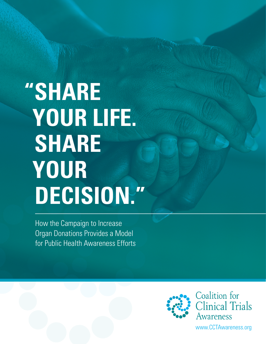# **"SHARE YOUR LIFE. SHARE YOUR DECISION."**

How the Campaign to Increase Organ Donations Provides a Model for Public Health Awareness Efforts





[www.CCTAwareness.org](http://www.CCTAwareness.org)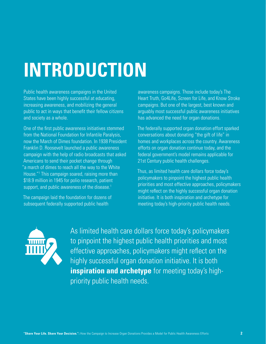## **INTRODUCTION**

Public health awareness campaigns in the United States have been highly successful at educating, increasing awareness, and mobilizing the general public to act in ways that benefit their fellow citizens and society as a whole.

One of the first public awareness initiatives stemmed from the National Foundation for Infantile Paralysis, now the March of Dimes foundation. In 1938 President Franklin D. Roosevelt launched a public awareness campaign with the help of radio broadcasts that asked Americans to send their pocket change through "a march of dimes to reach all the way to the White House."1 This campaign soared, raising more than \$18.9 million in 1945 for polio research, patient support, and public awareness of the disease.<sup>1</sup>

The campaign laid the foundation for dozens of subsequent federally supported public health

awareness campaigns. Those include today's The Heart Truth, Go4Life, Screen for Life, and Know Stroke campaigns. But one of the largest, best known and arguably most successful public awareness initiatives has advanced the need for organ donations.

The federally supported organ donation effort sparked conversations about donating "the gift of life" in homes and workplaces across the country. Awareness efforts on organ donation continue today, and the federal government's model remains applicable for 21st Century public health challenges.

Thus, as limited health care dollars force today's policymakers to pinpoint the highest public health priorities and most effective approaches, policymakers might reflect on the highly successful organ donation initiative. It is both inspiration and archetype for meeting today's high-priority public health needs.



As limited health care dollars force today's policymakers to pinpoint the highest public health priorities and most effective approaches, policymakers might reflect on the highly successful organ donation initiative. It is both **inspiration and archetype** for meeting today's highpriority public health needs.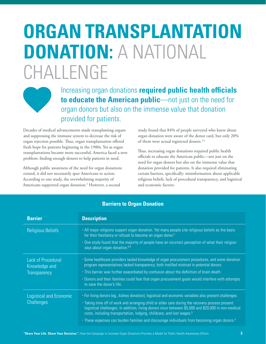## **ORGAN TRANSPLANTATION DONATION:** A NATIONAL CHALLENGE

Increasing organ donations **required public health officials to educate the American public**—not just on the need for organ donors but also on the immense value that donation provided for patients.

Decades of medical advancements made transplanting organs and suppressing the immune system to decrease the risk of organ rejection possible. Thus, organ transplantation offered fresh hope for patients beginning in the 1980s. Yet as organ transplantations became more successful, America faced a new problem: finding enough donors to help patients in need.

Although public awareness of the need for organ donations existed, it did not necessarily spur Americans to action. According to one study, the overwhelming majority of Americans supported organ donation.2 However, a second

study found that 84% of people surveyed who knew about organ donation were aware of the donor card, but only 20% of them were actual registered donors.3,4

Thus, increasing organ donations required public health officials to educate the American public—not just on the need for organ donors but also on the immense value that donation provided for patients. It also required eliminating certain barriers, specifically: misinformation about applicable religious beliefs, lack of procedural transparency, and logistical and economic factors.

| <b>Barrier</b>                                                    | <b>Description</b>                                                                                                                                                                                                                                                                          |
|-------------------------------------------------------------------|---------------------------------------------------------------------------------------------------------------------------------------------------------------------------------------------------------------------------------------------------------------------------------------------|
| <b>Religious Beliefs</b>                                          | • All major religions support organ donation. Yet many people cite religious beliefs as the basis<br>for their hesitancy or refusal to become an organ donor. <sup>5</sup>                                                                                                                  |
|                                                                   | One study found that the majority of people have an incorrect perception of what their religion<br>says about organ donation. <sup>6-8</sup>                                                                                                                                                |
| <b>Lack of Procedural</b><br>Knowledge and<br><b>Transparency</b> | · Some healthcare providers lacked knowledge of organ procurement procedures, and some donation<br>program representatives lacked transparency; both instilled mistrust in potential donors.                                                                                                |
|                                                                   | . This barrier was further exacerbated by confusion about the definition of brain death.                                                                                                                                                                                                    |
|                                                                   | • Donors and their families could fear that organ procurement goals would interfere with attempts<br>to save the donor's life.                                                                                                                                                              |
| Logistical and Economic<br><b>Challenges</b>                      | • For living donors (eg., kidney donation), logistical and economic variables also present challenges.                                                                                                                                                                                      |
|                                                                   | • Taking time off of work and arranging child or elder care during the recovery process present<br>logistical challenges. In addition, living donors incur between \$5,000 and \$20,000 in non-medical<br>costs, including transportation, lodging, childcare, and lost wages. <sup>9</sup> |
|                                                                   | • These expenses can burden families and discourage individuals from becoming organ donors. <sup>9</sup>                                                                                                                                                                                    |

### **Barriers to Organ Donation**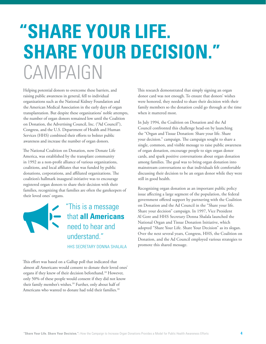## **"SHARE YOUR LIFE. SHARE YOUR DECISION."**  CAMPAIGN

Helping potential donors to overcome these barriers, and raising public awareness in general, fell to individual organizations such as the National Kidney Foundation and the American Medical Association in the early days of organ transplantation. But despite these organizations' noble attempts, the number of organ donors remained low until the Coalition on Donation, the Advertising Council, Inc. ("Ad Council"), Congress, and the U.S. Department of Health and Human Services (HHS) combined their efforts to bolster public awareness and increase the number of organ donors.

The National Coalition on Donation, now Donate Life America, was established by the transplant community in 1992 as a non-profit alliance of various organizations, coalitions, and local affiliates that was funded by public donations, corporations, and affiliated organizations. The coalition's hallmark inaugural initiative was to encourage registered organ donors to share their decision with their families, recognizing that families are often the gatekeepers of their loved ones' organs.

> "This is a message that **all Americans** need to hear and understand." HHS SECRETARY DONNA SHALALA

This effort was based on a Gallup poll that indicated that almost all Americans would consent to donate their loved ones' organs if they knew of their decision beforehand.10 However, only 50% of these people would consent if they did not know their family member's wishes.<sup>10</sup> Further, only about half of Americans who wanted to donate had told their families.<sup>10</sup>

This research demonstrated that simply signing an organ donor card was not enough. To ensure that donors' wishes were honored, they needed to share their decision with their family members so the donation could go through at the time when it mattered most.

In July 1994, the Coalition on Donation and the Ad Council confronted this challenge head-on by launching the "Organ and Tissue Donation: Share your life. Share your decision." campaign. The campaign sought to share a single, common, and visible message to raise public awareness of organ donation, encourage people to sign organ donor cards, and spark positive conversations about organ donation among families. The goal was to bring organ donation into mainstream conversations so that individuals felt comfortable discussing their decision to be an organ donor while they were still in good health.

Recognizing organ donation as an important public policy issue affecting a large segment of the population, the federal government offered support by partnering with the Coalition on Donation and the Ad Council in the "Share your life. Share your decision" campaign. In 1997, Vice President Al Gore and HHS Secretary Donna Shalala launched the National Organ and Tissue Donation Initiative, which adopted "Share Your Life. Share Your Decision" as its slogan. Over the next several years, Congress, HHS, the Coalition on Donation, and the Ad Council employed various strategies to promote this shared message.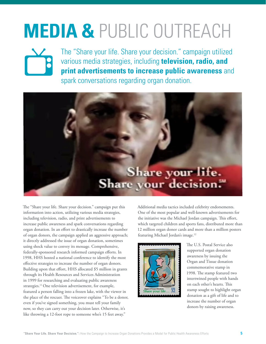## **MEDIA &** PUBLIC OUTREACH



The "Share your life. Share your decision." campaign utilized various media strategies, including **television, radio, and print advertisements to increase public awareness** and spark conversations regarding organ donation.



The "Share your life. Share your decision." campaign put this information into action, utilizing various media strategies, including television, radio, and print advertisements to increase public awareness and spark conversations regarding organ donation. In an effort to drastically increase the number of organ donors, the campaign applied an aggressive approach; it directly addressed the issue of organ donation, sometimes using shock value to convey its message. Comprehensive, federally-sponsored research informed campaign efforts. In 1998, HHS hosted a national conference to identify the most effective strategies to increase the number of organ donors. Building upon that effort, HHS allocated \$5 million in grants through its Health Resources and Services Administration in 1999 for researching and evaluating public awareness strategies.<sup>11</sup> One television advertisement, for example, featured a person falling into a frozen lake, with the viewer in the place of the rescuer. The voiceover explains "To be a donor, even if you've signed something, you must tell your family now, so they can carry out your decision later. Otherwise, it's like throwing a 12-foot rope to someone who's 15 feet away."

Additional media tactics included celebrity endorsements. One of the most popular and well-known advertisements for the initiative was the Michael Jordan campaign. This effort, which targeted children and sports fans, distributed more than 12 million organ donor cards and more than a million posters featuring Michael Jordan's image.<sup>12</sup>



The U.S. Postal Service also supported organ donation awareness by issuing the Organ and Tissue donation commemorative stamp in 1998. The stamp featured two intertwined people with hands on each other's hearts. This stamp sought to highlight organ donation as a gift of life and to increase the number of organ donors by raising awareness.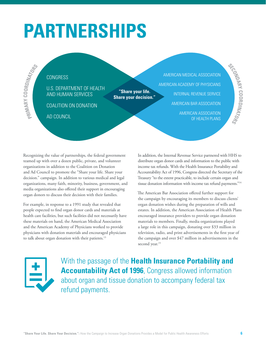## **PARTNERSHIPS**

### **CONGRESS**

U.S. DEPARTMENT OF HEALTH AND HUMAN SERVICES

COALITION ON DONATION

AD COUNCIL

**MI ARY**

 $\mathbf{\mathbf{C}}$ **O O**

**RDINATOR** 

**"Share your life. Share your decision."** AMERICAN MEDICAL ASSOCIATION AMERICAN ACADEMY OF PHYSICIANS

INTERNAL REVENUE SERVICE AMERICAN BAR ASSOCIATION AMERICAN ASSOCIATION **EXAMPLE AD COUNCIL** AND COUNCIL AND COUNCIL AND COUNCIL AND COUNCIL AND COUNCIL AND COUNCIL AND COUNCIL AND COUNCIL AND COUNCIL AND COUNCIL AND COUNCIL AND COUNCIL AND COUNCIL AND COUNCIL AND COUNCIL AND COUNCIL AND COUNC

**SECONDARY**

CORDINATOR<sub>2</sub>

Recognizing the value of partnerships, the federal government teamed up with over a dozen public, private, and volunteer organizations in addition to the Coalition on Donation and Ad Council to promote the "Share your life. Share your decision." campaign. In addition to various medical and legal organizations, many faith, minority, business, government, and media organizations also offered their support in encouraging organ donors to discuss their decision with their families.

For example, in response to a 1991 study that revealed that people expected to find organ donor cards and materials at health care facilities, but such facilities did not necessarily have these materials on hand, the American Medical Association and the American Academy of Physicians worked to provide physicians with donation materials and encouraged physicians to talk about organ donation with their patients.<sup>13</sup>

In addition, the Internal Revenue Service partnered with HHS to distribute organ donor cards and information to the public with income tax refunds. With the Health Insurance Portability and Accountability Act of 1996, Congress directed the Secretary of the Treasury "to the extent practicable, to include certain organ and tissue donation information with income tax refund payments."14

The American Bar Association offered further support for the campaign by encouraging its members to discuss clients' organ donation wishes during the preparation of wills and estates. In addition, the American Association of Health Plans encouraged insurance providers to provide organ donation materials to members. Finally, media organizations played a large role in this campaign, donating over \$33 million in television, radio, and print advertisements in the first year of the campaign and over \$47 million in advertisements in the second year.<sup>15</sup>



With the passage of the **Health Insurance Portability and Accountability Act of 1996**, Congress allowed information about organ and tissue donation to accompany federal tax refund payments.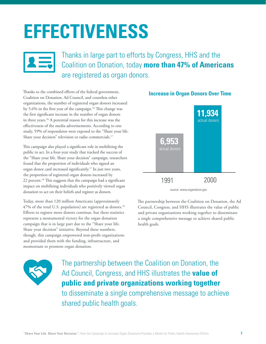## **EFFECTIVENESS**



Thanks in large part to efforts by Congress, HHS and the Coalition on Donation, today **more than 47% of Americans** are registered as organ donors.

Thanks to the combined efforts of the federal government, Coalition on Donation, Ad Council, and countless other organizations, the number of registered organ donors increased by 5.6% in the first year of the campaign.<sup>16</sup> This change was the first significant increase in the number of organ donors in three years.16 A potential reason for this increase was the effectiveness of the media advertisements. According to one study, 59% of respondents were exposed to the "Share your life. Share your decision" television or radio commercials.<sup>17</sup>

This campaign also played a significant role in mobilizing the public to act. In a four-year study that tracked the success of the "Share your life. Share your decision" campaign, researchers found that the proportion of individuals who signed an organ donor card increased significantly.17 In just two years, the proportion of registered organ donors increased by 22 percent.<sup>18</sup> This suggests that the campaign had a significant impact on mobilizing individuals who positively viewed organ donation to act on their beliefs and register as donors.

Today, more than 120 million Americans (approximately 47% of the total U.S. population) are registered as donors.<sup>19</sup> Efforts to register more donors continue, but these statistics represent a monumental victory for the organ donation campaign that is in large part due to the "Share your life. Share your decision" initiative. Beyond these numbers, though, this campaign empowered non-profit organizations and provided them with the funding, infrastructure, and momentum to promote organ donation.

### **6,953** 1991 2000 source: www.organdonor.gov **11,934** actual dono actual donors

**Increase in Organ Donors Over Time**

The partnership between the Coalition on Donation, the Ad Council, Congress, and HHS illustrates the value of public and private organizations working together to disseminate a single comprehensive message to achieve shared public health goals.



The partnership between the Coalition on Donation, the Ad Council, Congress, and HHS illustrates the **value of public and private organizations working together** to disseminate a single comprehensive message to achieve shared public health goals.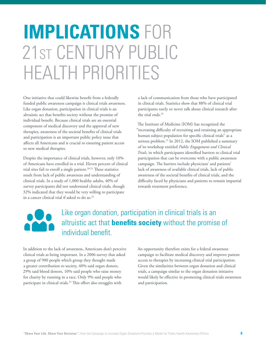## **IMPLICATIONS** FOR 21st CENTURY PUBLIC HEALTH PRIORITIES

One initiative that could likewise benefit from a federally funded public awareness campaign is clinical trials awareness. Like organ donation, participation in clinical trials is an altruistic act that benefits society without the promise of individual benefit. Because clinical trials are an essential component of medical discovery and the approval of new therapies, awareness of the societal benefits of clinical trials and participation is an important public policy issue that affects all Americans and is crucial to ensuring patient access to new medical therapies.

Despite the importance of clinical trials, however, only 10% of Americans have enrolled in a trial. Eleven percent of clinical trial sites fail to enroll a single patient.<sup>20-21</sup> These statistics result from lack of public awareness and understanding of clinical trials. In a study of 1,000 healthy adults, 40% of survey participants did not understand clinical trials, though 32% indicated that they would be very willing to participate in a cancer clinical trial if asked to do so.<sup>22</sup>

a lack of communication from those who have participated in clinical trials. Statistics show that 88% of clinical trial participants rarely or never talk about clinical research after the trial ends.<sup>24</sup>

The Institute of Medicine (IOM) has recognized the "increasing difficulty of recruiting and retaining an appropriate human subject population for specific clinical trials" as a serious problem.25 In 2012, the IOM published a summary of its workshop entitled *Public Engagement and Clinical Trials*, in which participants identified barriers to clinical trial participation that can be overcome with a public awareness campaign. The barriers include physicians' and patients' lack of awareness of available clinical trials, lack of public awareness of the societal benefits of clinical trials, and the difficulty faced by physicians and patients to remain impartial towards treatment preference.

### Like organ donation, participation in clinical trials is an altruistic act that **benefits society** without the promise of individual benefit.

In addition to the lack of awareness, Americans don't perceive clinical trials as being important. In a 2006 survey that asked a group of 900 people which group they thought made a greater contribution to society, 40% said organ donors, 29% said blood donors, 10% said people who raise money for charity by running in a race. Only 9% said people who participate in clinical trials.<sup>23</sup> This effort also struggles with

An opportunity therefore exists for a federal awareness campaign to facilitate medical discovery and improve patient access to therapies by increasing clinical trial participation. Given the similarities between organ donation and clinical trials, a campaign similar to the organ donation initiative would likely be effective in promoting clinical trials awareness and participation.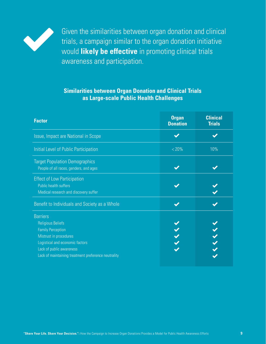

Given the similarities between organ donation and clinical trials, a campaign similar to the organ donation initiative would **likely be effective** in promoting clinical trials awareness and participation.

### **Similarities between Organ Donation and Clinical Trials as Large-scale Public Health Challenges**

| <b>Factor</b>                                                                                                                                                                                                           | <b>Organ</b><br><b>Donation</b> | <b>Clinical</b><br><b>Trials</b> |
|-------------------------------------------------------------------------------------------------------------------------------------------------------------------------------------------------------------------------|---------------------------------|----------------------------------|
| Issue, Impact are National in Scope                                                                                                                                                                                     |                                 |                                  |
| Initial Level of Public Participation                                                                                                                                                                                   | < 20%                           | 10%                              |
| <b>Target Population Demographics</b><br>People of all races, genders, and ages                                                                                                                                         |                                 |                                  |
| <b>Effect of Low Participation</b><br>Public health suffers<br>Medical research and discovery suffer                                                                                                                    |                                 |                                  |
| Benefit to Individuals and Society as a Whole                                                                                                                                                                           |                                 |                                  |
| <b>Barriers</b><br><b>Religious Beliefs</b><br><b>Family Perception</b><br>Mistrust in procedures<br>Logistical and economic factors<br>Lack of public awareness<br>Lack of maintaining treatment preference neutrality |                                 |                                  |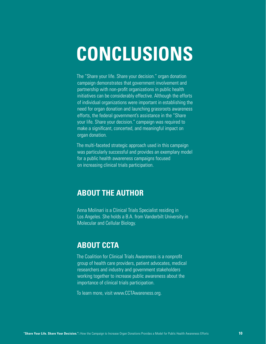## **CONCLUSIONS**

The "Share your life. Share your decision." organ donation campaign demonstrates that government involvement and partnership with non-profit organizations in public health initiatives can be considerably effective. Although the efforts of individual organizations were important in establishing the need for organ donation and launching grassroots awareness efforts, the federal government's assistance in the "Share your life. Share your decision." campaign was required to make a significant, concerted, and meaningful impact on organ donation.

The multi-faceted strategic approach used in this campaign was particularly successful and provides an exemplary model for a public health awareness campaigns focused on increasing clinical trials participation.

### **ABOUT THE AUTHOR**

Anna Molinari is a Clinical Trials Specialist residing in Los Angeles. She holds a B.A. from Vanderbilt University in Molecular and Cellular Biology.

### **ABOUT CCTA**

The Coalition for Clinical Trials Awareness is a nonprofit group of health care providers, patient advocates, medical researchers and industry and government stakeholders working together to increase public awareness about the importance of clinical trials participation.

To learn more, visit [www.CCTAwareness.org.](http://www.CCTAwareness.org)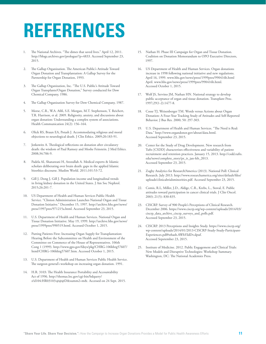### **REFERENCES**

- 1. The National Archives. "The dimes that saved lives." April 12, 2011. <http://blogs.archives.gov/prologue/?p=4833>. Accessed September 23, 2015.
- 2. The Gallup Organization. The American Public's Attitude Toward Organ Donation and Transplantation: A Gallup Survey for the Partnership for Organ Donation, 1993.
- 3. The Gallup Organization, Inc. "The U.S. Public's Attitude Toward Organ Transplants/Organ Donation," Survey conducted for Dow Chemical Company, 1986.
- 4. The Gallup Organization Survey for Dow Chemical Company, 1987.
- 5. Morse, C.R., W.A. Afifi, S.E. Morgan, M.T. Stephenson, T. Reichert, T.R. Harrison, et al. 2009. Religiosity, anxiety, and discussions about organ donation: Understanding a complex system of associations. Health Communication 24(2): 156–164.
- 6. Olick RS, Braun EA, Potash J. Accommodating religious and moral objections to neurological death. J Clin Ethics. 2009;20:183-91.
- 7. Jotkowitz A. Theological reflections on donation after circulatory death: the wisdom of Paul Ramsey and Moshe Feinstein. J Med Ethics. 2008;34:706-9.
- 8. Padela AI, Shanawani H, Arozullah A. Medical experts & Islamic scholars deliberating over brain death: gaps in the applied Islamic bioethics discourse. Muslim World. 2011;101:53-72.
- 9. Gill J, Dong J, Gill J. Population income and longitudinal trends in living kidney donation in the United States. J Am Soc Nephrol. 2015;26:201-7.
- 10. US Department of Health and Human Services Public Health Service. "Clinton Administration Launches National Organ and Tissue Donation Initiative." December 15, 1997. [http://archive.hhs.gov/news/](http://archive.hhs.gov/news/press/1997pres/971215a.html) [press/1997pres/971215a.html](http://archive.hhs.gov/news/press/1997pres/971215a.html). Accessed September 23, 2015.
- 11. U.S. Department of Health and Human Services. National Organ and Tissue Donation Initiative. May 19, 1999. [http://archive.hhs.gov/news/](http://archive.hhs.gov/news/press/1999pres/990519.html) [press/1999pres/990519.html.](http://archive.hhs.gov/news/press/1999pres/990519.html) Accessed October 1, 2015.
- 12. Putting Patients First: Increasing Organ Supply for Transplantation: Hearing Before the Subcommittee on Health and Environment of the Committee on Commerce of the House of Representatives. 106th Cong 1 (1999). [http://www.gpo.gov/fdsys/pkg/CHRG-106hhrg57607/](http://www.gpo.gov/fdsys/pkg/CHRG-106hhrg57607/html/CHRG-106hhrg57607.htm) [html/CHRG-106hhrg57607.htm.](http://www.gpo.gov/fdsys/pkg/CHRG-106hhrg57607/html/CHRG-106hhrg57607.htm) Accessed October 1, 2015.
- 13. U.S. Department of Health and Human Services Public Health Service. The surgeon general's workshop on increasing organ donation. 1991.
- 14. H.R. 3103: The Health Insurance Portability and Accountability Act of 1996. [http://thomas.loc.gov/cgi-bin/bdquery/](http://thomas.loc.gov/cgi-bin/bdquery/z?d104:HR03103:@@@D&summ2=m&) [z?d104:HR03103:@@@D&summ2=m&](http://thomas.loc.gov/cgi-bin/bdquery/z?d104:HR03103:@@@D&summ2=m&). Accessed on 24 Sept. 2015.
- 15. Nathan H: Phase III Campaign for Organ and Tissue Donation. Coalition on Donation Memorandum to OPO Executive Directors, 1997.
- 16. US Department of Health and Human Services. Organ donations increase in 1998 following national initiative and new regulations. April 16, 1999. [www.hhs.gov/news/press/1999pres/990416b.html](http://www.hhs.gov/news/press/1999pres/990416b.html) April. [www.hhs.gov/news/press/1999pres/990416b.html.](http://www.hhs.gov/news/press/1999pres/990416b.html) Accessed October 1, 2015.
- 17. Wolf JS, Servino JM, Nathan HN. National strategy to develop public acceptance of organ and tissue donation. Transplant Proc. 1997;29(1-2):1477-8.
- 18. Cosse TJ, Weisenberger TM. Words versus Actions about Organ Donation: A Four-Year Tracking Study of Attitudes and Self-Reported Behavior. J Bus Res. 2000; 50: 297-303.
- 19. U.S. Department of Health and Human Services. "The Need is Real: Data."<http://www.organdonor.gov/about/data.html>. Accessed September 23, 2015.
- 20. Center for the Study of Drug Development. New research from Tufts [CSDD] characterizes effectiveness and variability of patient recruitment and retention practices. January 15, 2013. [http://csdd.tufts.](http://csdd.tufts.edu/news/complete_story/pr_ir_jan-feb_2013) [edu/news/complete\\_story/pr\\_ir\\_jan-feb\\_2013](http://csdd.tufts.edu/news/complete_story/pr_ir_jan-feb_2013). Accessed September 23, 2015.
- 21. Zogby Analytics for Research!America (2013). National Poll: Clinical Research. July 2013. [http://www.researchamerica.org/sites/default/files/](http://www.researchamerica.org/sites/default/files/uploads/clinicaltrialsminorities.pdf) [uploads/clinicaltrialsminorities.pdf.](http://www.researchamerica.org/sites/default/files/uploads/clinicaltrialsminorities.pdf) Accessed September 23, 2015.
- 22. Comis, R.L, Miller, J.D., Aldige, C.R., Krebs, L., Stoval, E. Public attitudes toward participation in cancer clinical trials. J Clin Oncol. 2003; 21(5): 830-835.
- 23. CISCRP. Survey of 900 People's Perceptions of Clinical Research. December 2006. [https://www.ciscrp.org/wp-content/uploads/2014/03/](https://www.ciscrp.org/wp-content/uploads/2014/03/ciscrp_data_archive_ciscrp_surveys_and_polls.pdf) [ciscrp\\_data\\_archive\\_ciscrp\\_surveys\\_and\\_polls.pdf](https://www.ciscrp.org/wp-content/uploads/2014/03/ciscrp_data_archive_ciscrp_surveys_and_polls.pdf). Accessed September 23, 2015.
- 24. CISCRP. 2013 Perceptions and Insights Study. [https://www.ciscrp.org/](https://www.ciscrp.org/wp-content/uploads/2014/01/2013-CISCRP-Study-Study-Participant-Experiences.pdf#sthash.AWhYIdDv.dpuf) [wp-content/uploads/2014/01/2013-CISCRP-Study-Study-Participant-](https://www.ciscrp.org/wp-content/uploads/2014/01/2013-CISCRP-Study-Study-Participant-Experiences.pdf#sthash.AWhYIdDv.dpuf)[Experiences.pdf#sthash.AWhYIdDv.dpuf](https://www.ciscrp.org/wp-content/uploads/2014/01/2013-CISCRP-Study-Study-Participant-Experiences.pdf#sthash.AWhYIdDv.dpuf). Accessed Sepetember 23, 2015.
- 25. Institute of Medicine. 2012. Public Engagement and Clinical Trials: New Models and Disruptive Technologies: Workshop Summary. Washington, DC: The National Academies Press.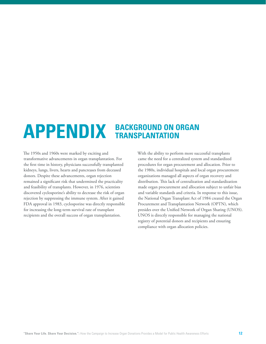### **APPENDIX BACKGROUND ON ORGAN TRANSPLANTATION**

The 1950s and 1960s were marked by exciting and transformative advancements in organ transplantation. For the first time in history, physicians successfully transplanted kidneys, lungs, livers, hearts and pancreases from deceased donors. Despite these advancements, organ rejection remained a significant risk that undermined the practicality and feasibility of transplants. However, in 1976, scientists discovered cyclosporine's ability to decrease the risk of organ rejection by suppressing the immune system. After it gained FDA approval in 1983, cyclosporine was directly responsible for increasing the long-term survival rate of transplant recipients and the overall success of organ transplantation.

With the ability to perform more successful transplants came the need for a centralized system and standardized procedures for organ procurement and allocation. Prior to the 1980s, individual hospitals and local organ procurement organizations managed all aspects of organ recovery and distribution. This lack of centralization and standardization made organ procurement and allocation subject to unfair bias and variable standards and criteria. In response to this issue, the National Organ Transplant Act of 1984 created the Organ Procurement and Transplantation Network (OPTN), which presides over the Unified Network of Organ Sharing (UNOS). UNOS is directly responsible for managing the national registry of potential donors and recipients and ensuring compliance with organ allocation policies.